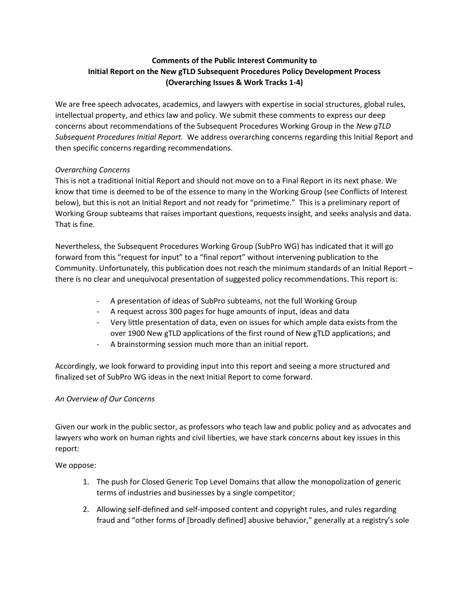# **Comments of the Public Interest Community to Initial Report on the New gTLD Subsequent Procedures Policy Development Process (Overarching Issues & Work Tracks 1-4)**

We are free speech advocates, academics, and lawyers with expertise in social structures, global rules, intellectual property, and ethics law and policy. We submit these comments to express our deep concerns about recommendations of the Subsequent Procedures Working Group in the *New gTLD Subsequent Procedures Initial Report.* We address overarching concerns regarding this Initial Report and then specific concerns regarding recommendations.

## *Overarching Concerns*

This is not a traditional Initial Report and should not move on to a Final Report in its next phase. We know that time is deemed to be of the essence to many in the Working Group (see Conflicts of Interest below), but this is not an Initial Report and not ready for "primetime." This is a preliminary report of Working Group subteams that raises important questions, requests insight, and seeks analysis and data. That is fine.

Nevertheless, the Subsequent Procedures Working Group (SubPro WG) has indicated that it will go forward from this "request for input" to a "final report" without intervening publication to the Community. Unfortunately, this publication does not reach the minimum standards of an Initial Report – there is no clear and unequivocal presentation of suggested policy recommendations. This report is:

- A presentation of ideas of SubPro subteams, not the full Working Group
- A request across 300 pages for huge amounts of input, ideas and data
- Very little presentation of data, even on issues for which ample data exists from the over 1900 New gTLD applications of the first round of New gTLD applications; and
- A brainstorming session much more than an initial report.

Accordingly, we look forward to providing input into this report and seeing a more structured and finalized set of SubPro WG ideas in the next Initial Report to come forward.

## *An Overview of Our Concerns*

Given our work in the public sector, as professors who teach law and public policy and as advocates and lawyers who work on human rights and civil liberties, we have stark concerns about key issues in this report:

We oppose:

- 1. The push for Closed Generic Top Level Domains that allow the monopolization of generic terms of industries and businesses by a single competitor;
- 2. Allowing self-defined and self-imposed content and copyright rules, and rules regarding fraud and "other forms of [broadly defined] abusive behavior," generally at a registry's sole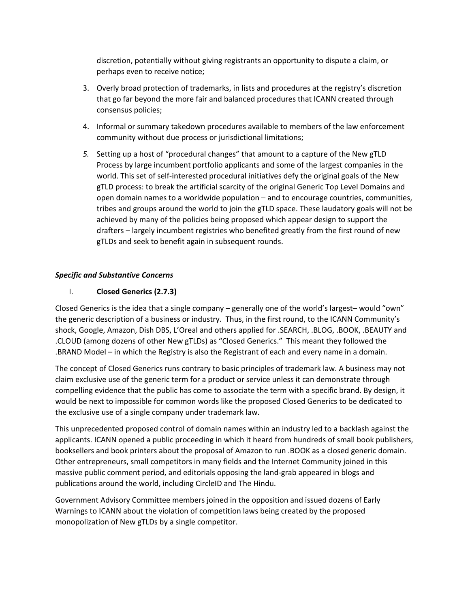discretion, potentially without giving registrants an opportunity to dispute a claim, or perhaps even to receive notice;

- 3. Overly broad protection of trademarks, in lists and procedures at the registry's discretion that go far beyond the more fair and balanced procedures that ICANN created through consensus policies;
- 4. Informal or summary takedown procedures available to members of the law enforcement community without due process or jurisdictional limitations;
- *5.* Setting up a host of "procedural changes" that amount to a capture of the New gTLD Process by large incumbent portfolio applicants and some of the largest companies in the world. This set of self-interested procedural initiatives defy the original goals of the New gTLD process: to break the artificial scarcity of the original Generic Top Level Domains and open domain names to a worldwide population – and to encourage countries, communities, tribes and groups around the world to join the gTLD space. These laudatory goals will not be achieved by many of the policies being proposed which appear design to support the drafters – largely incumbent registries who benefited greatly from the first round of new gTLDs and seek to benefit again in subsequent rounds.

#### *Specific and Substantive Concerns*

## I. **Closed Generics (2.7.3)**

Closed Generics is the idea that a single company – generally one of the world's largest– would "own" the generic description of a business or industry. Thus, in the first round, to the ICANN Community's shock, Google, Amazon, Dish DBS, L'Oreal and others applied for .SEARCH, .BLOG, .BOOK, .BEAUTY and .CLOUD (among dozens of other New gTLDs) as "Closed Generics." This meant they followed the .BRAND Model – in which the Registry is also the Registrant of each and every name in a domain.

The concept of Closed Generics runs contrary to basic principles of trademark law. A business may not claim exclusive use of the generic term for a product or service unless it can demonstrate through compelling evidence that the public has come to associate the term with a specific brand. By design, it would be next to impossible for common words like the proposed Closed Generics to be dedicated to the exclusive use of a single company under trademark law.

This unprecedented proposed control of domain names within an industry led to a backlash against the applicants. ICANN opened a public proceeding in which it heard from hundreds of small book publishers, booksellers and book printers about the proposal of Amazon to run .BOOK as a closed generic domain. Other entrepreneurs, small competitors in many fields and the Internet Community joined in this massive public comment period, and editorials opposing the land-grab appeared in blogs and publications around the world, including CircleID and The Hindu.

Government Advisory Committee members joined in the opposition and issued dozens of Early Warnings to ICANN about the violation of competition laws being created by the proposed monopolization of New gTLDs by a single competitor.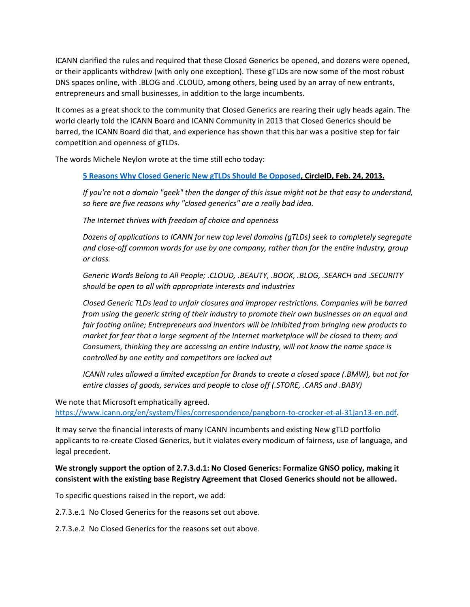ICANN clarified the rules and required that these Closed Generics be opened, and dozens were opened, or their applicants withdrew (with only one exception). These gTLDs are now some of the most robust DNS spaces online, with .BLOG and .CLOUD, among others, being used by an array of new entrants, entrepreneurs and small businesses, in addition to the large incumbents.

It comes as a great shock to the community that Closed Generics are rearing their ugly heads again. The world clearly told the ICANN Board and ICANN Community in 2013 that Closed Generics should be barred, the ICANN Board did that, and experience has shown that this bar was a positive step for fair competition and openness of gTLDs.

The words Michele Neylon wrote at the time still echo today:

#### **5 Reasons Why Closed Generic New gTLDs Should Be [Opposed](http://www.circleid.com/posts/20130224_5_reasons_why_closed_generic_new_gtlds_should_be_opposed/), CircleID, Feb. 24, 2013.**

If you're not a domain "geek" then the danger of this issue might not be that easy to understand, *so here are five reasons why "closed generics" are a really bad idea.*

*The Internet thrives with freedom of choice and openness*

*Dozens of applications to ICANN for new top level domains (gTLDs) seek to completely segregate and close-off common words for use by one company, rather than for the entire industry, group or class.*

*Generic Words Belong to All People; .CLOUD, .BEAUTY, .BOOK, .BLOG, .SEARCH and .SECURITY should be open to all with appropriate interests and industries*

*Closed Generic TLDs lead to unfair closures and improper restrictions. Companies will be barred from using the generic string of their industry to promote their own businesses on an equal and fair footing online; Entrepreneurs and inventors will be inhibited from bringing new products to market for fear that a large segment of the Internet marketplace will be closed to them; and Consumers, thinking they are accessing an entire industry, will not know the name space is controlled by one entity and competitors are locked out*

*ICANN rules allowed a limited exception for Brands to create a closed space (.BMW), but not for entire classes of goods, services and people to close off (.STORE, .CARS and .BABY)*

We note that Microsoft emphatically agreed.

[https://www.icann.org/en/system/files/correspondence/pangborn-to-crocker-et-al-31jan13-en.pdf.](https://www.icann.org/en/system/files/correspondence/pangborn-to-crocker-et-al-31jan13-en.pdf)

It may serve the financial interests of many ICANN incumbents and existing New gTLD portfolio applicants to re-create Closed Generics, but it violates every modicum of fairness, use of language, and legal precedent.

## **We strongly support the option of 2.7.3.d.1: No Closed Generics: Formalize GNSO policy, making it consistent with the existing base Registry Agreement that Closed Generics should not be allowed.**

To specific questions raised in the report, we add:

2.7.3.e.1 No Closed Generics for the reasons set out above.

2.7.3.e.2 No Closed Generics for the reasons set out above.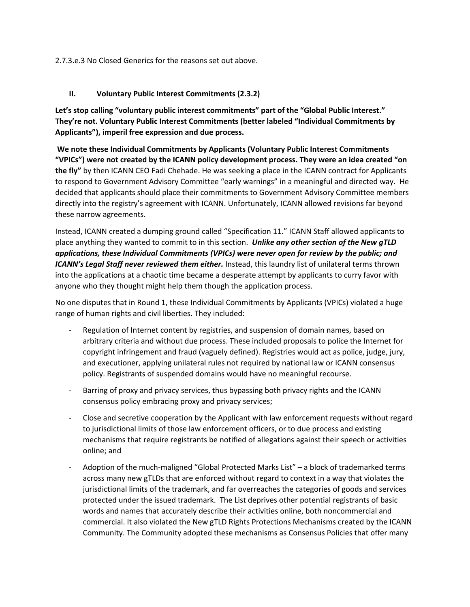2.7.3.e.3 No Closed Generics for the reasons set out above.

#### **II. Voluntary Public Interest Commitments (2.3.2)**

**Let's stop calling "voluntary public interest commitments" part of the "Global Public Interest." They're not. Voluntary Public Interest Commitments (better labeled "Individual Commitments by Applicants"), imperil free expression and due process.**

**We note these Individual Commitments by Applicants (Voluntary Public Interest Commitments "VPICs") were not created by the ICANN policy development process. They were an idea created "on the fly"** by then ICANN CEO Fadi Chehade. He was seeking a place in the ICANN contract for Applicants to respond to Government Advisory Committee "early warnings" in a meaningful and directed way. He decided that applicants should place their commitments to Government Advisory Committee members directly into the registry's agreement with ICANN. Unfortunately, ICANN allowed revisions far beyond these narrow agreements.

Instead, ICANN created a dumping ground called "Specification 11." ICANN Staff allowed applicants to place anything they wanted to commit to in this section. *Unlike any other section of the New gTLD applications, these Individual Commitments (VPICs) were never open for review by the public; and ICANN's Legal Staff never reviewed them either.* Instead, this laundry list of unilateral terms thrown into the applications at a chaotic time became a desperate attempt by applicants to curry favor with anyone who they thought might help them though the application process.

No one disputes that in Round 1, these Individual Commitments by Applicants (VPICs) violated a huge range of human rights and civil liberties. They included:

- Regulation of Internet content by registries, and suspension of domain names, based on arbitrary criteria and without due process. These included proposals to police the Internet for copyright infringement and fraud (vaguely defined). Registries would act as police, judge, jury, and executioner, applying unilateral rules not required by national law or ICANN consensus policy. Registrants of suspended domains would have no meaningful recourse.
- Barring of proxy and privacy services, thus bypassing both privacy rights and the ICANN consensus policy embracing proxy and privacy services;
- Close and secretive cooperation by the Applicant with law enforcement requests without regard to jurisdictional limits of those law enforcement officers, or to due process and existing mechanisms that require registrants be notified of allegations against their speech or activities online; and
- Adoption of the much-maligned "Global Protected Marks List" a block of trademarked terms across many new gTLDs that are enforced without regard to context in a way that violates the jurisdictional limits of the trademark, and far overreaches the categories of goods and services protected under the issued trademark. The List deprives other potential registrants of basic words and names that accurately describe their activities online, both noncommercial and commercial. It also violated the New gTLD Rights Protections Mechanisms created by the ICANN Community. The Community adopted these mechanisms as Consensus Policies that offer many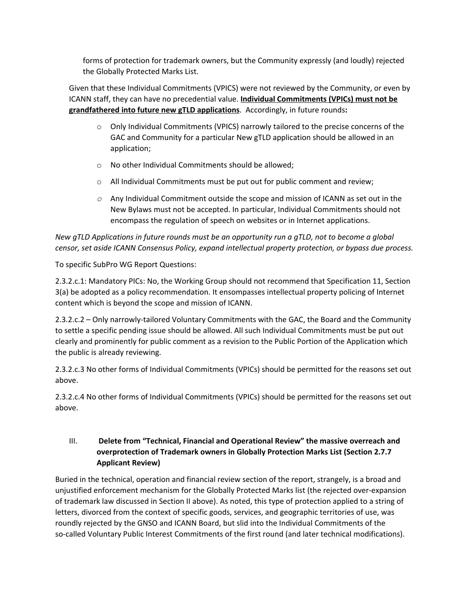forms of protection for trademark owners, but the Community expressly (and loudly) rejected the Globally Protected Marks List.

Given that these Individual Commitments (VPICS) were not reviewed by the Community, or even by ICANN staff, they can have no precedential value. **Individual Commitments (VPICs) must not be grandfathered into future new gTLD applications**. Accordingly, in future rounds**:**

- $\circ$  Only Individual Commitments (VPICS) narrowly tailored to the precise concerns of the GAC and Community for a particular New gTLD application should be allowed in an application;
- o No other Individual Commitments should be allowed;
- o All Individual Commitments must be put out for public comment and review;
- *o* Any Individual Commitment outside the scope and mission of ICANN as set out in the New Bylaws must not be accepted. In particular, Individual Commitments should not encompass the regulation of speech on websites or in Internet applications.

*New gTLD Applications in future rounds must be an opportunity run a gTLD, not to become a global censor, set aside ICANN Consensus Policy, expand intellectual property protection, or bypass due process.*

To specific SubPro WG Report Questions:

2.3.2.c.1: Mandatory PICs: No, the Working Group should not recommend that Specification 11, Section 3(a) be adopted as a policy recommendation. It ensompasses intellectual property policing of Internet content which is beyond the scope and mission of ICANN.

2.3.2.c.2 – Only narrowly-tailored Voluntary Commitments with the GAC, the Board and the Community to settle a specific pending issue should be allowed. All such Individual Commitments must be put out clearly and prominently for public comment as a revision to the Public Portion of the Application which the public is already reviewing.

2.3.2.c.3 No other forms of Individual Commitments (VPICs) should be permitted for the reasons set out above.

2.3.2.c.4 No other forms of Individual Commitments (VPICs) should be permitted for the reasons set out above.

# III. **Delete from "Technical, Financial and Operational Review" the massive overreach and overprotection of Trademark owners in Globally Protection Marks List (Section 2.7.7 Applicant Review)**

Buried in the technical, operation and financial review section of the report, strangely, is a broad and unjustified enforcement mechanism for the Globally Protected Marks list (the rejected over-expansion of trademark law discussed in Section II above). As noted, this type of protection applied to a string of letters, divorced from the context of specific goods, services, and geographic territories of use, was roundly rejected by the GNSO and ICANN Board, but slid into the Individual Commitments of the so-called Voluntary Public Interest Commitments of the first round (and later technical modifications).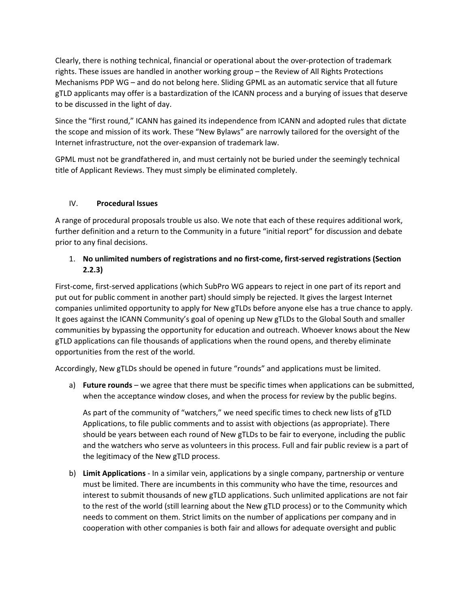Clearly, there is nothing technical, financial or operational about the over-protection of trademark rights. These issues are handled in another working group – the Review of All Rights Protections Mechanisms PDP WG – and do not belong here. Sliding GPML as an automatic service that all future gTLD applicants may offer is a bastardization of the ICANN process and a burying of issues that deserve to be discussed in the light of day.

Since the "first round," ICANN has gained its independence from ICANN and adopted rules that dictate the scope and mission of its work. These "New Bylaws" are narrowly tailored for the oversight of the Internet infrastructure, not the over-expansion of trademark law.

GPML must not be grandfathered in, and must certainly not be buried under the seemingly technical title of Applicant Reviews. They must simply be eliminated completely.

# IV. **Procedural Issues**

A range of procedural proposals trouble us also. We note that each of these requires additional work, further definition and a return to the Community in a future "initial report" for discussion and debate prior to any final decisions.

# 1. **No unlimited numbers of registrations and no first-come, first-served registrations (Section 2.2.3)**

First-come, first-served applications (which SubPro WG appears to reject in one part of its report and put out for public comment in another part) should simply be rejected. It gives the largest Internet companies unlimited opportunity to apply for New gTLDs before anyone else has a true chance to apply. It goes against the ICANN Community's goal of opening up New gTLDs to the Global South and smaller communities by bypassing the opportunity for education and outreach. Whoever knows about the New gTLD applications can file thousands of applications when the round opens, and thereby eliminate opportunities from the rest of the world.

Accordingly, New gTLDs should be opened in future "rounds" and applications must be limited.

a) **Future rounds** – we agree that there must be specific times when applications can be submitted, when the acceptance window closes, and when the process for review by the public begins.

As part of the community of "watchers," we need specific times to check new lists of gTLD Applications, to file public comments and to assist with objections (as appropriate). There should be years between each round of New gTLDs to be fair to everyone, including the public and the watchers who serve as volunteers in this process. Full and fair public review is a part of the legitimacy of the New gTLD process.

b) **Limit Applications** - In a similar vein, applications by a single company, partnership or venture must be limited. There are incumbents in this community who have the time, resources and interest to submit thousands of new gTLD applications. Such unlimited applications are not fair to the rest of the world (still learning about the New gTLD process) or to the Community which needs to comment on them. Strict limits on the number of applications per company and in cooperation with other companies is both fair and allows for adequate oversight and public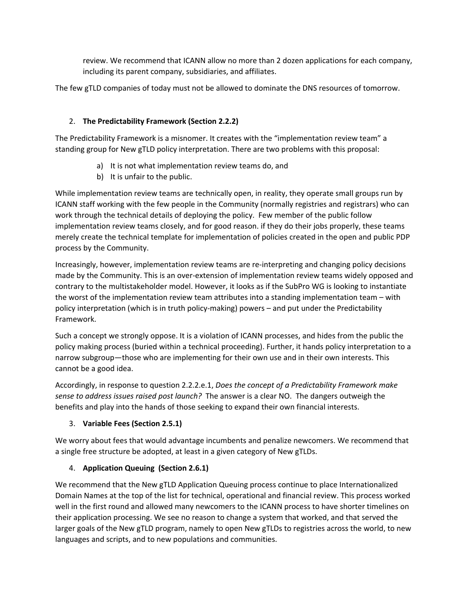review. We recommend that ICANN allow no more than 2 dozen applications for each company, including its parent company, subsidiaries, and affiliates.

The few gTLD companies of today must not be allowed to dominate the DNS resources of tomorrow.

### 2. **The Predictability Framework (Section 2.2.2)**

The Predictability Framework is a misnomer. It creates with the "implementation review team" a standing group for New gTLD policy interpretation. There are two problems with this proposal:

- a) It is not what implementation review teams do, and
- b) It is unfair to the public.

While implementation review teams are technically open, in reality, they operate small groups run by ICANN staff working with the few people in the Community (normally registries and registrars) who can work through the technical details of deploying the policy. Few member of the public follow implementation review teams closely, and for good reason. if they do their jobs properly, these teams merely create the technical template for implementation of policies created in the open and public PDP process by the Community.

Increasingly, however, implementation review teams are re-interpreting and changing policy decisions made by the Community. This is an over-extension of implementation review teams widely opposed and contrary to the multistakeholder model. However, it looks as if the SubPro WG is looking to instantiate the worst of the implementation review team attributes into a standing implementation team – with policy interpretation (which is in truth policy-making) powers – and put under the Predictability Framework.

Such a concept we strongly oppose. It is a violation of ICANN processes, and hides from the public the policy making process (buried within a technical proceeding). Further, it hands policy interpretation to a narrow subgroup—those who are implementing for their own use and in their own interests. This cannot be a good idea.

Accordingly, in response to question 2.2.2.e.1, *Does the concept of a Predictability Framework make sense to address issues raised post launch?* The answer is a clear NO. The dangers outweigh the benefits and play into the hands of those seeking to expand their own financial interests.

## 3. **Variable Fees (Section 2.5.1)**

We worry about fees that would advantage incumbents and penalize newcomers. We recommend that a single free structure be adopted, at least in a given category of New gTLDs.

## 4. **Application Queuing (Section 2.6.1)**

We recommend that the New gTLD Application Queuing process continue to place Internationalized Domain Names at the top of the list for technical, operational and financial review. This process worked well in the first round and allowed many newcomers to the ICANN process to have shorter timelines on their application processing. We see no reason to change a system that worked, and that served the larger goals of the New gTLD program, namely to open New gTLDs to registries across the world, to new languages and scripts, and to new populations and communities.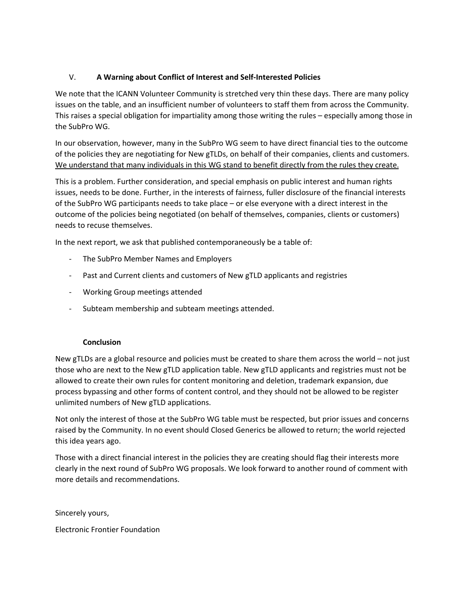## V. **A Warning about Conflict of Interest and Self-Interested Policies**

We note that the ICANN Volunteer Community is stretched very thin these days. There are many policy issues on the table, and an insufficient number of volunteers to staff them from across the Community. This raises a special obligation for impartiality among those writing the rules – especially among those in the SubPro WG.

In our observation, however, many in the SubPro WG seem to have direct financial ties to the outcome of the policies they are negotiating for New gTLDs, on behalf of their companies, clients and customers. We understand that many individuals in this WG stand to benefit directly from the rules they create.

This is a problem. Further consideration, and special emphasis on public interest and human rights issues, needs to be done. Further, in the interests of fairness, fuller disclosure of the financial interests of the SubPro WG participants needs to take place – or else everyone with a direct interest in the outcome of the policies being negotiated (on behalf of themselves, companies, clients or customers) needs to recuse themselves.

In the next report, we ask that published contemporaneously be a table of:

- The SubPro Member Names and Employers
- Past and Current clients and customers of New gTLD applicants and registries
- Working Group meetings attended
- Subteam membership and subteam meetings attended.

#### **Conclusion**

New gTLDs are a global resource and policies must be created to share them across the world – not just those who are next to the New gTLD application table. New gTLD applicants and registries must not be allowed to create their own rules for content monitoring and deletion, trademark expansion, due process bypassing and other forms of content control, and they should not be allowed to be register unlimited numbers of New gTLD applications.

Not only the interest of those at the SubPro WG table must be respected, but prior issues and concerns raised by the Community. In no event should Closed Generics be allowed to return; the world rejected this idea years ago.

Those with a direct financial interest in the policies they are creating should flag their interests more clearly in the next round of SubPro WG proposals. We look forward to another round of comment with more details and recommendations.

Sincerely yours,

Electronic Frontier Foundation